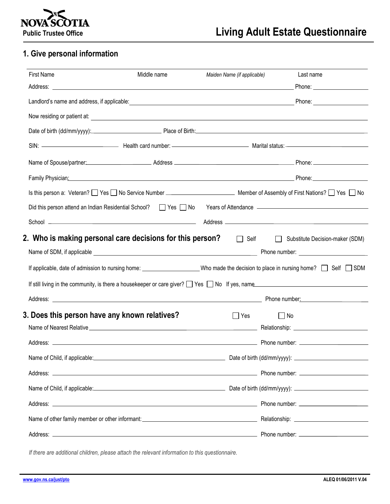

## **1. Give personal information**

| <b>First Name</b>                                         | Middle name | Maiden Name (if applicable) | Last name                                                                                                                                                                                                                            |
|-----------------------------------------------------------|-------------|-----------------------------|--------------------------------------------------------------------------------------------------------------------------------------------------------------------------------------------------------------------------------------|
|                                                           |             |                             |                                                                                                                                                                                                                                      |
|                                                           |             |                             | Landlord's name and address, if applicable: <b>All and Accord 2018</b> and 2019 and 2019 and 2019 and 2019 and 2019 and 2019 and 2019 and 2019 and 2019 and 2019 and 2019 and 2019 and 2019 and 2019 and 2019 and 2019 and 2019 and  |
|                                                           |             |                             |                                                                                                                                                                                                                                      |
|                                                           |             |                             | Date of birth (dd/mm/yyyy): Place of Birth: Place of Birth:                                                                                                                                                                          |
|                                                           |             |                             |                                                                                                                                                                                                                                      |
|                                                           |             |                             | Name of Spouse/partner: Name of Spouse/partner: Name of Spouse/partner: Name of Spouse/partner: Name of Spouse/partner:                                                                                                              |
|                                                           |             |                             | Family Physician: Phone: Phone: Phone: Phone: Phone: Phone: Phone: Phone: Phone: Phone: Phone: Phone: Phone: Phone: Phone: Phone: Phone: Phone: Phone: Phone: Phone: Phone: Phone: Phone: Phone: Phone: Phone: Phone: Phone: P       |
|                                                           |             |                             | Is this person a: Veteran? See Section of Previous Control of Assembly of First Nations? See Section of Assembly of First Nations? Section of Assembly of First Nations? Section of Assembly of First Nations? Section of Asse       |
|                                                           |             |                             | Did this person attend an Indian Residential School? [Carl Yes Carl No Years of Attendance Communication attends and the Did Testam Communication of the Did the Did the Did the Did the Did the Did the Did the Did the Did t       |
|                                                           |             |                             |                                                                                                                                                                                                                                      |
| 2. Who is making personal care decisions for this person? |             |                             | Self Substitute Decision-maker (SDM)                                                                                                                                                                                                 |
|                                                           |             |                             |                                                                                                                                                                                                                                      |
|                                                           |             |                             | If applicable, date of admission to nursing home: ________________________Who made the decision to place in nursing home? $\Box$ Self $\Box$ SDM                                                                                     |
|                                                           |             |                             | If still living in the community, is there a housekeeper or care giver? The Yes The Hyes, name                                                                                                                                       |
|                                                           |             |                             |                                                                                                                                                                                                                                      |
| 3. Does this person have any known relatives?             |             | Yes                         | $\vert$ $\vert$ No                                                                                                                                                                                                                   |
|                                                           |             |                             |                                                                                                                                                                                                                                      |
|                                                           |             |                             |                                                                                                                                                                                                                                      |
|                                                           |             |                             | Name of Child, if applicable: <u>contract the contract of the contract of the contract of the contract of the contract of the contract of the contract of the contract of the contract of the contract of the contract of the co</u> |
|                                                           |             |                             |                                                                                                                                                                                                                                      |
|                                                           |             |                             | Name of Child, if applicable: <u>Channel Channel</u> Date of birth (dd/mm/yyyy): Channel Child, if applicable:                                                                                                                       |
|                                                           |             |                             |                                                                                                                                                                                                                                      |
|                                                           |             |                             |                                                                                                                                                                                                                                      |
|                                                           |             |                             |                                                                                                                                                                                                                                      |

*If there are additional children, please attach the relevant information to this questionnaire.*